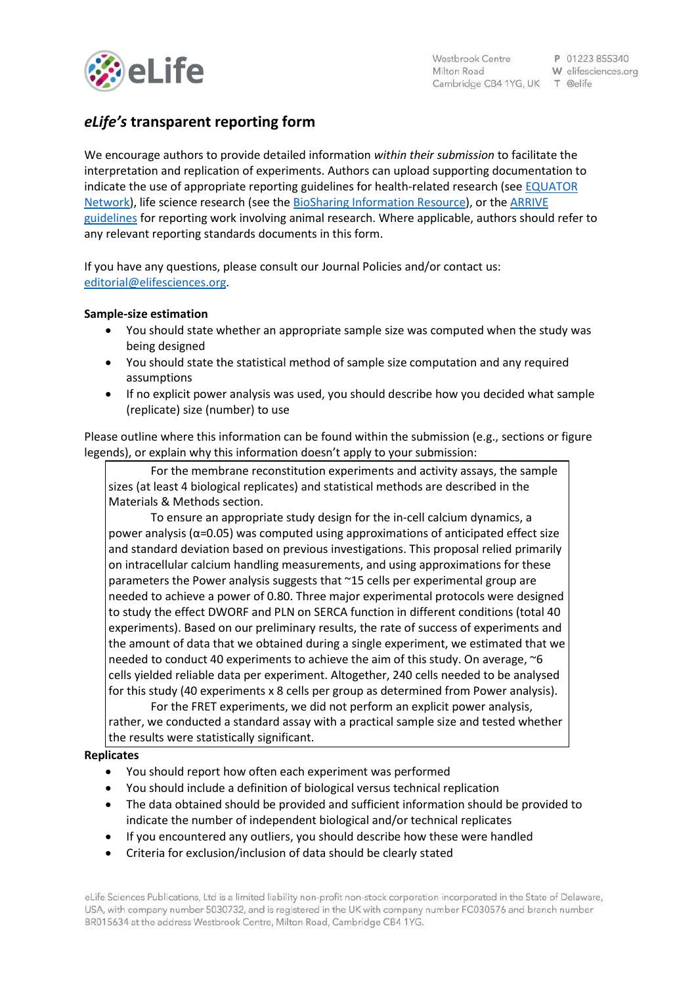

# *eLife's* **transparent reporting form**

We encourage authors to provide detailed information *within their submission* to facilitate the interpretation and replication of experiments. Authors can upload supporting documentation to indicate the use of appropriate reporting guidelines for health-related research (see [EQUATOR](http://www.equator-network.org/)  [Network\)](http://www.equator-network.org/), life science research (see the [BioSharing Information Resource\)](https://biosharing.org/), or the [ARRIVE](http://www.plosbiology.org/article/info:doi/10.1371/journal.pbio.1000412)  [guidelines](http://www.plosbiology.org/article/info:doi/10.1371/journal.pbio.1000412) for reporting work involving animal research. Where applicable, authors should refer to any relevant reporting standards documents in this form.

If you have any questions, please consult our Journal Policies and/or contact us: [editorial@elifesciences.org.](mailto:editorial@elifesciences.org)

## **Sample-size estimation**

- You should state whether an appropriate sample size was computed when the study was being designed
- You should state the statistical method of sample size computation and any required assumptions
- If no explicit power analysis was used, you should describe how you decided what sample (replicate) size (number) to use

Please outline where this information can be found within the submission (e.g., sections or figure legends), or explain why this information doesn't apply to your submission:

For the membrane reconstitution experiments and activity assays, the sample sizes (at least 4 biological replicates) and statistical methods are described in the Materials & Methods section.

To ensure an appropriate study design for the in-cell calcium dynamics, a power analysis ( $α=0.05$ ) was computed using approximations of anticipated effect size and standard deviation based on previous investigations. This proposal relied primarily on intracellular calcium handling measurements, and using approximations for these parameters the Power analysis suggests that ~15 cells per experimental group are needed to achieve a power of 0.80. Three major experimental protocols were designed to study the effect DWORF and PLN on SERCA function in different conditions (total 40 experiments). Based on our preliminary results, the rate of success of experiments and the amount of data that we obtained during a single experiment, we estimated that we needed to conduct 40 experiments to achieve the aim of this study. On average, ~6 cells yielded reliable data per experiment. Altogether, 240 cells needed to be analysed for this study (40 experiments x 8 cells per group as determined from Power analysis).

For the FRET experiments, we did not perform an explicit power analysis, rather, we conducted a standard assay with a practical sample size and tested whether the results were statistically significant.

#### **Replicates**

- You should report how often each experiment was performed
- You should include a definition of biological versus technical replication
- The data obtained should be provided and sufficient information should be provided to indicate the number of independent biological and/or technical replicates
- If you encountered any outliers, you should describe how these were handled
- Criteria for exclusion/inclusion of data should be clearly stated

eLife Sciences Publications, Ltd is a limited liability non-profit non-stock corporation incorporated in the State of Delaware, USA, with company number 5030732, and is registered in the UK with company number FC030576 and branch number BR015634 at the address Westbrook Centre, Milton Road, Cambridge CB4 1YG.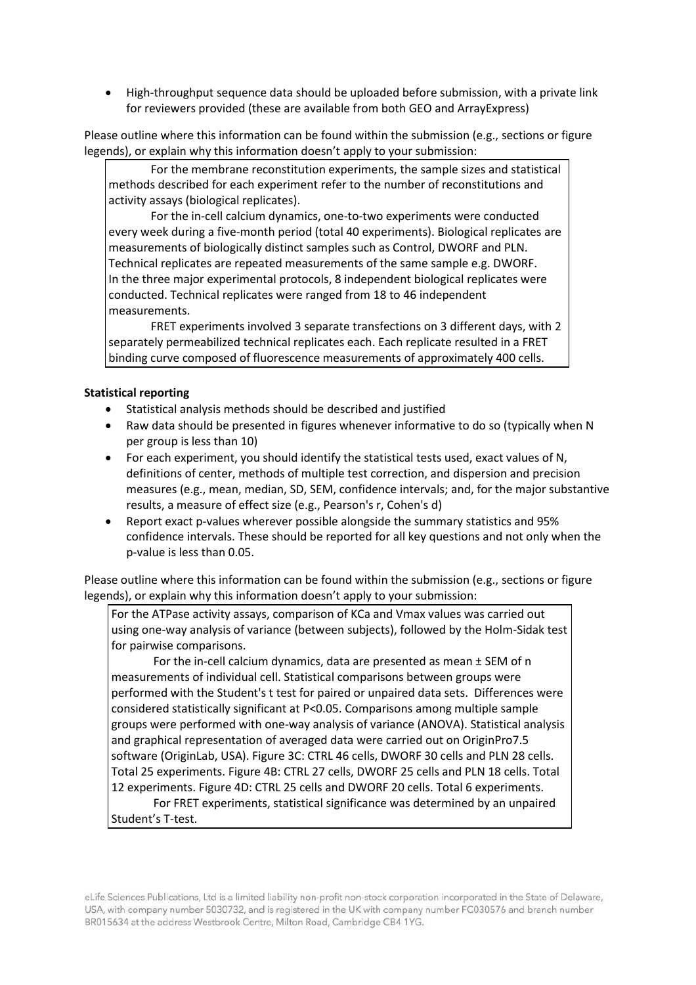High-throughput sequence data should be uploaded before submission, with a private link for reviewers provided (these are available from both GEO and ArrayExpress)

Please outline where this information can be found within the submission (e.g., sections or figure legends), or explain why this information doesn't apply to your submission:

For the membrane reconstitution experiments, the sample sizes and statistical methods described for each experiment refer to the number of reconstitutions and activity assays (biological replicates).

For the in-cell calcium dynamics, one-to-two experiments were conducted every week during a five-month period (total 40 experiments). Biological replicates are measurements of biologically distinct samples such as Control, DWORF and PLN. Technical replicates are repeated measurements of the same sample e.g. DWORF. In the three major experimental protocols, 8 independent biological replicates were conducted. Technical replicates were ranged from 18 to 46 independent measurements.

FRET experiments involved 3 separate transfections on 3 different days, with 2 separately permeabilized technical replicates each. Each replicate resulted in a FRET binding curve composed of fluorescence measurements of approximately 400 cells.

#### **Statistical reporting**

- Statistical analysis methods should be described and justified
- Raw data should be presented in figures whenever informative to do so (typically when N per group is less than 10)
- For each experiment, you should identify the statistical tests used, exact values of N, definitions of center, methods of multiple test correction, and dispersion and precision measures (e.g., mean, median, SD, SEM, confidence intervals; and, for the major substantive results, a measure of effect size (e.g., Pearson's r, Cohen's d)
- Report exact p-values wherever possible alongside the summary statistics and 95% confidence intervals. These should be reported for all key questions and not only when the p-value is less than 0.05.

Please outline where this information can be found within the submission (e.g., sections or figure legends), or explain why this information doesn't apply to your submission:

For the ATPase activity assays, comparison of KCa and Vmax values was carried out using one-way analysis of variance (between subjects), followed by the Holm-Sidak test for pairwise comparisons.

For the in-cell calcium dynamics, data are presented as mean ± SEM of n measurements of individual cell. Statistical comparisons between groups were performed with the Student's t test for paired or unpaired data sets. Differences were considered statistically significant at P<0.05. Comparisons among multiple sample groups were performed with one-way analysis of variance (ANOVA). Statistical analysis and graphical representation of averaged data were carried out on OriginPro7.5 software (OriginLab, USA). Figure 3C: CTRL 46 cells, DWORF 30 cells and PLN 28 cells. Total 25 experiments. Figure 4B: CTRL 27 cells, DWORF 25 cells and PLN 18 cells. Total 12 experiments. Figure 4D: CTRL 25 cells and DWORF 20 cells. Total 6 experiments.

For FRET experiments, statistical significance was determined by an unpaired Student's T-test.

eLife Sciences Publications, Ltd is a limited liability non-profit non-stock corporation incorporated in the State of Delaware, USA, with company number 5030732, and is registered in the UK with company number FC030576 and branch number BR015634 at the address Westbrook Centre, Milton Road, Cambridge CB4 1YG.